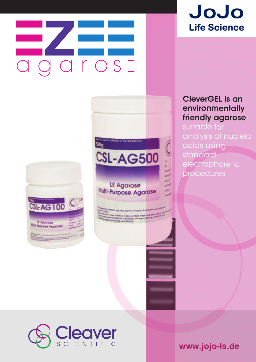# a g a r o s E



**CSL-AG500** 

 $\sum_{k=1}^{n}$ 

500g

### LE Agarose Multi-Purpose Agarose



suitable for analysis of nucleic acids using standard electrophoretic procedures



**www.jojo-ls.de**

# JoJo **Life Science**